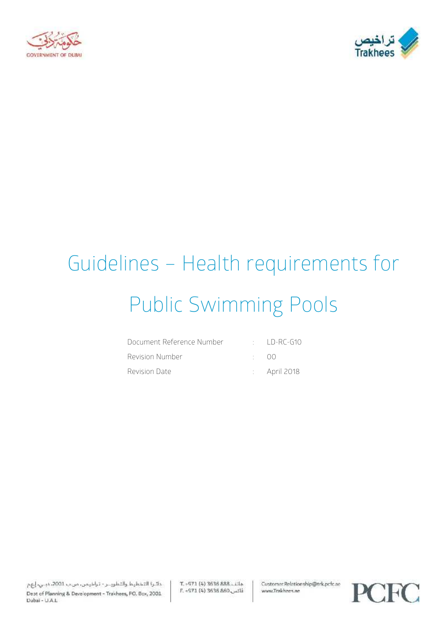



# Guidelines – Health requirements for Public Swimming Pools

| Document Reference Number |              | $\cdot$ ID-RC-G10       |
|---------------------------|--------------|-------------------------|
| Revision Number           | $\cdot$ ()() |                         |
| Revision Date             |              | $\therefore$ April 2018 |

T. - 971 (4) 3636 888. Lila E. -971 (4) 3636 860 Customer.Relationship@trk.pcfc.ae www.Trakhees.ae

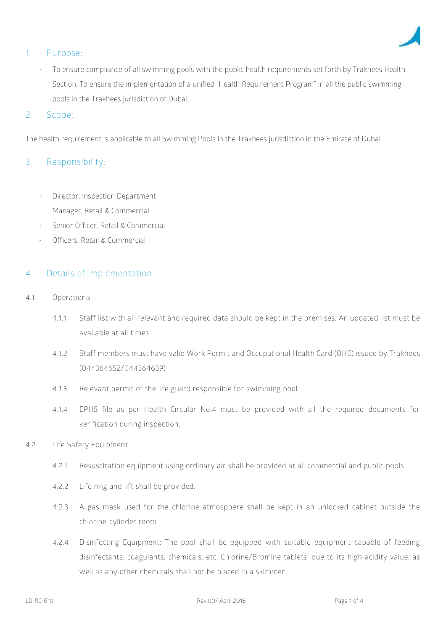

## **1. Purpose:**

To ensure compliance of all swimming pools with the public health requirements set forth by Trakhees Health Section. To ensure the implementation of a unified "Health Requirement Program" in all the public swimming pools in the Trakhees jurisdiction of Dubai..

## 2. **Scope**:

The health requirement is applicable to all Swimming Pools in the Trakhees jurisdiction in the Emirate of Dubai.

## **3. Responsibility:**

- Director, Inspection Department
- Manager, Retail & Commercial
- Senior Officer, Retail & Commercial
- Officers, Retail & Commercial

### **4. Details of implementation**:

- **4.1. Operational:**
	- **4.1.1 Staff list with all relevant and required data should be kept in the premises. An updated list must be available at all times.**
	- **4.1.2 Staff members must have valid Work Permit and Occupational Health Card (OHC) issued by Trakhees (044364652/044364639)**
	- **4.1.3 Relevant permit of the life guard responsible for swimming pool.**
	- **4.1.4 EPHS file as per Health Circular No.4 must be provided with all the required documents for verification during inspection.**
- **4.2 Life Safety Equipment**:
	- **4.2.1 Resuscitation equipment using ordinary air shall be provided at all commercial and public pools.**
	- **4.2.2 Life ring and lift shall be provided.**
	- **4.2.3 A gas mask used for the chlorine atmosphere shall be kept in an unlocked cabinet outside the chlorine-cylinder room.**
	- **4.2.4 Disinfecting Equipment: The pool shall be equipped with suitable equipment capable of feeding disinfectants, coagulants, chemicals, etc. Chlorine/Bromine tablets, due to its high acidity value, as well as any other chemicals shall not be placed in a skimmer.**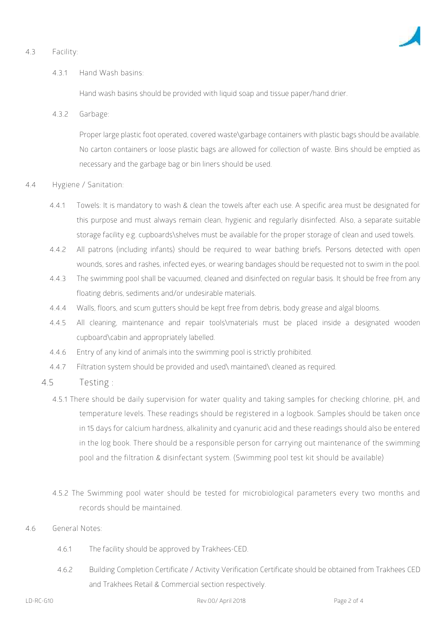#### **4.3 Facility:**



#### **4.3.1 Hand Wash basins:**

Hand wash basins should be provided with liquid soap and tissue paper/hand drier.

**4.3.2 Garbage:**

Proper large plastic foot operated, covered waste\garbage containers with plastic bags should be available. No carton containers or loose plastic bags are allowed for collection of waste. Bins should be emptied as necessary and the garbage bag or bin liners should be used.

#### **4.4 Hygiene / Sanitation:**

- **4.4.1** Towels: It is mandatory to wash & clean the towels after each use. A specific area must be designated for this purpose and must always remain clean, hygienic and regularly disinfected. Also, a separate suitable storage facility e.g. cupboards\shelves must be available for the proper storage of clean and used towels.
- **4.4.2** All patrons (including infants) should be required to wear bathing briefs. Persons detected with open wounds, sores and rashes, infected eyes, or wearing bandages should be requested not to swim in the pool.
- **4.4.3** The swimming pool shall be vacuumed, cleaned and disinfected on regular basis. It should be free from any floating debris, sediments and/or undesirable materials.
- **4.4.4** Walls, floors, and scum gutters should be kept free from debris, body grease and algal blooms.
- **4.4.5** All cleaning, maintenance and repair tools\materials must be placed inside a designated wooden cupboard\cabin and appropriately labelled.
- **4.4.6** Entry of any kind of animals into the swimming pool is strictly prohibited.
- **4.4.7** Filtration system should be provided and used\ maintained\ cleaned as required.
- **4.5 Testing :**
	- **4.5.1 There should be daily supervision for water quality and taking samples for checking chlorine, pH, and temperature levels. These readings should be registered in a logbook. Samples should be taken once in 15 days for calcium hardness, alkalinity and cyanuric acid and these readings should also be entered in the log book. There should be a responsible person for carrying out maintenance of the swimming pool and the filtration & disinfectant system. (Swimming pool test kit should be available)**
	- **4.5.2 The Swimming pool water should be tested for microbiological parameters every two months and records should be maintained.**
- **4.6 General Notes:**
	- 4.6.1 The facility should be approved by Trakhees-CED.
	- 4.6.2 Building Completion Certificate / Activity Verification Certificate should be obtained from Trakhees CED and Trakhees Retail & Commercial section respectively.